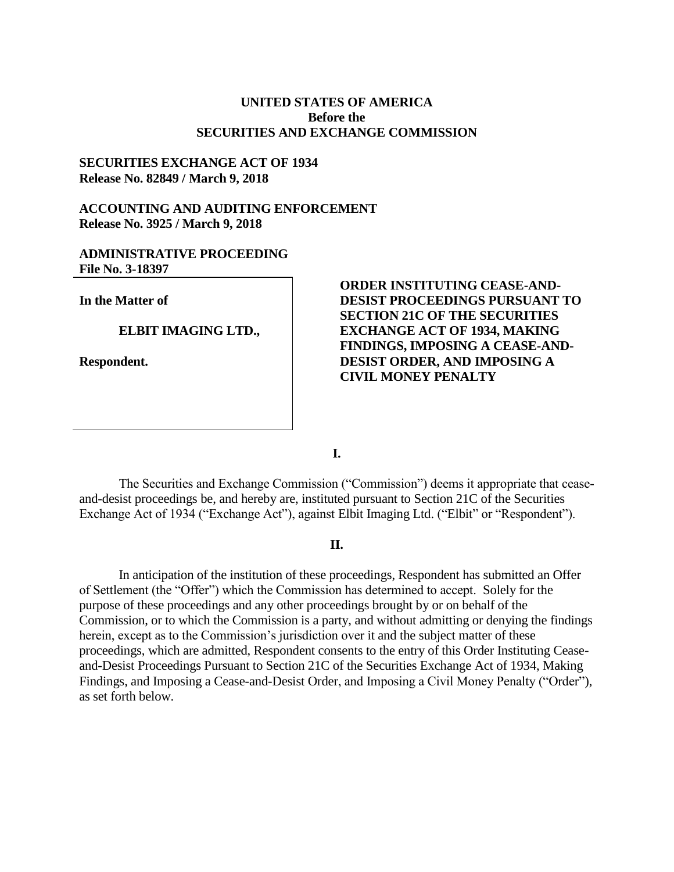# **UNITED STATES OF AMERICA Before the SECURITIES AND EXCHANGE COMMISSION**

### **SECURITIES EXCHANGE ACT OF 1934 Release No. 82849 / March 9, 2018**

# **ACCOUNTING AND AUDITING ENFORCEMENT Release No. 3925 / March 9, 2018**

# **ADMINISTRATIVE PROCEEDING File No. 3-18397**

**In the Matter of** 

**ELBIT IMAGING LTD.,** 

**Respondent.** 

**ORDER INSTITUTING CEASE-AND-DESIST PROCEEDINGS PURSUANT TO SECTION 21C OF THE SECURITIES EXCHANGE ACT OF 1934, MAKING FINDINGS, IMPOSING A CEASE-AND-DESIST ORDER, AND IMPOSING A CIVIL MONEY PENALTY**

**I.**

The Securities and Exchange Commission ("Commission") deems it appropriate that ceaseand-desist proceedings be, and hereby are, instituted pursuant to Section 21C of the Securities Exchange Act of 1934 ("Exchange Act"), against Elbit Imaging Ltd. ("Elbit" or "Respondent").

# **II.**

In anticipation of the institution of these proceedings, Respondent has submitted an Offer of Settlement (the "Offer") which the Commission has determined to accept. Solely for the purpose of these proceedings and any other proceedings brought by or on behalf of the Commission, or to which the Commission is a party, and without admitting or denying the findings herein, except as to the Commission's jurisdiction over it and the subject matter of these proceedings, which are admitted, Respondent consents to the entry of this Order Instituting Ceaseand-Desist Proceedings Pursuant to Section 21C of the Securities Exchange Act of 1934, Making Findings, and Imposing a Cease-and-Desist Order, and Imposing a Civil Money Penalty ("Order"), as set forth below.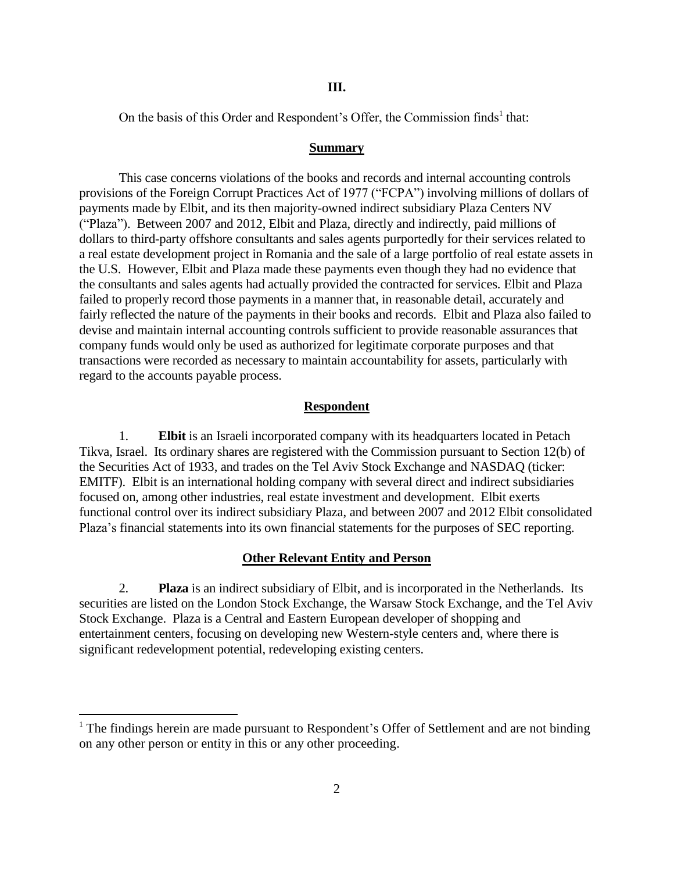#### **III.**

On the basis of this Order and Respondent's Offer, the Commission finds<sup>1</sup> that:

#### **Summary**

This case concerns violations of the books and records and internal accounting controls provisions of the Foreign Corrupt Practices Act of 1977 ("FCPA") involving millions of dollars of payments made by Elbit, and its then majority-owned indirect subsidiary Plaza Centers NV ("Plaza"). Between 2007 and 2012, Elbit and Plaza, directly and indirectly, paid millions of dollars to third-party offshore consultants and sales agents purportedly for their services related to a real estate development project in Romania and the sale of a large portfolio of real estate assets in the U.S. However, Elbit and Plaza made these payments even though they had no evidence that the consultants and sales agents had actually provided the contracted for services. Elbit and Plaza failed to properly record those payments in a manner that, in reasonable detail, accurately and fairly reflected the nature of the payments in their books and records. Elbit and Plaza also failed to devise and maintain internal accounting controls sufficient to provide reasonable assurances that company funds would only be used as authorized for legitimate corporate purposes and that transactions were recorded as necessary to maintain accountability for assets, particularly with regard to the accounts payable process.

#### **Respondent**

1. **Elbit** is an Israeli incorporated company with its headquarters located in Petach Tikva, Israel. Its ordinary shares are registered with the Commission pursuant to Section 12(b) of the Securities Act of 1933, and trades on the Tel Aviv Stock Exchange and NASDAQ (ticker: EMITF). Elbit is an international holding company with several direct and indirect subsidiaries focused on, among other industries, real estate investment and development. Elbit exerts functional control over its indirect subsidiary Plaza, and between 2007 and 2012 Elbit consolidated Plaza's financial statements into its own financial statements for the purposes of SEC reporting.

#### **Other Relevant Entity and Person**

2. **Plaza** is an indirect subsidiary of Elbit, and is incorporated in the Netherlands. Its securities are listed on the London Stock Exchange, the Warsaw Stock Exchange, and the Tel Aviv Stock Exchange. Plaza is a Central and Eastern European developer of shopping and entertainment centers, focusing on developing new Western-style centers and, where there is significant redevelopment potential, redeveloping existing centers.

<sup>&</sup>lt;sup>1</sup> The findings herein are made pursuant to Respondent's Offer of Settlement and are not binding on any other person or entity in this or any other proceeding.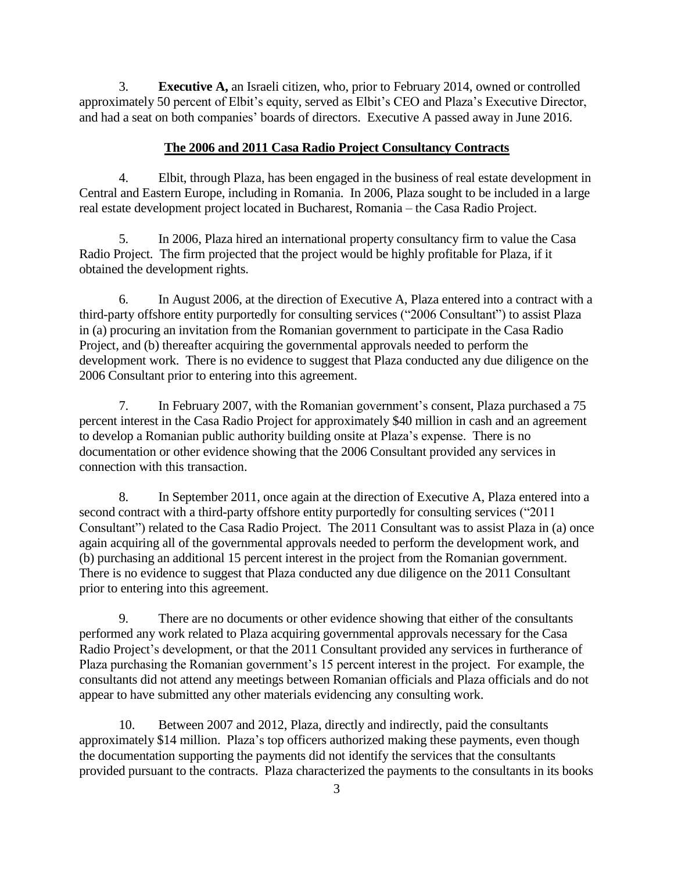3. **Executive A,** an Israeli citizen, who, prior to February 2014, owned or controlled approximately 50 percent of Elbit's equity, served as Elbit's CEO and Plaza's Executive Director, and had a seat on both companies' boards of directors. Executive A passed away in June 2016.

# **The 2006 and 2011 Casa Radio Project Consultancy Contracts**

4. Elbit, through Plaza, has been engaged in the business of real estate development in Central and Eastern Europe, including in Romania. In 2006, Plaza sought to be included in a large real estate development project located in Bucharest, Romania – the Casa Radio Project.

5. In 2006, Plaza hired an international property consultancy firm to value the Casa Radio Project. The firm projected that the project would be highly profitable for Plaza, if it obtained the development rights.

6. In August 2006, at the direction of Executive A, Plaza entered into a contract with a third-party offshore entity purportedly for consulting services ("2006 Consultant") to assist Plaza in (a) procuring an invitation from the Romanian government to participate in the Casa Radio Project, and (b) thereafter acquiring the governmental approvals needed to perform the development work. There is no evidence to suggest that Plaza conducted any due diligence on the 2006 Consultant prior to entering into this agreement.

7. In February 2007, with the Romanian government's consent, Plaza purchased a 75 percent interest in the Casa Radio Project for approximately \$40 million in cash and an agreement to develop a Romanian public authority building onsite at Plaza's expense. There is no documentation or other evidence showing that the 2006 Consultant provided any services in connection with this transaction.

8. In September 2011, once again at the direction of Executive A, Plaza entered into a second contract with a third-party offshore entity purportedly for consulting services  $(2011$ Consultant") related to the Casa Radio Project. The 2011 Consultant was to assist Plaza in (a) once again acquiring all of the governmental approvals needed to perform the development work, and (b) purchasing an additional 15 percent interest in the project from the Romanian government. There is no evidence to suggest that Plaza conducted any due diligence on the 2011 Consultant prior to entering into this agreement.

9. There are no documents or other evidence showing that either of the consultants performed any work related to Plaza acquiring governmental approvals necessary for the Casa Radio Project's development, or that the 2011 Consultant provided any services in furtherance of Plaza purchasing the Romanian government's 15 percent interest in the project. For example, the consultants did not attend any meetings between Romanian officials and Plaza officials and do not appear to have submitted any other materials evidencing any consulting work.

10. Between 2007 and 2012, Plaza, directly and indirectly, paid the consultants approximately \$14 million. Plaza's top officers authorized making these payments, even though the documentation supporting the payments did not identify the services that the consultants provided pursuant to the contracts. Plaza characterized the payments to the consultants in its books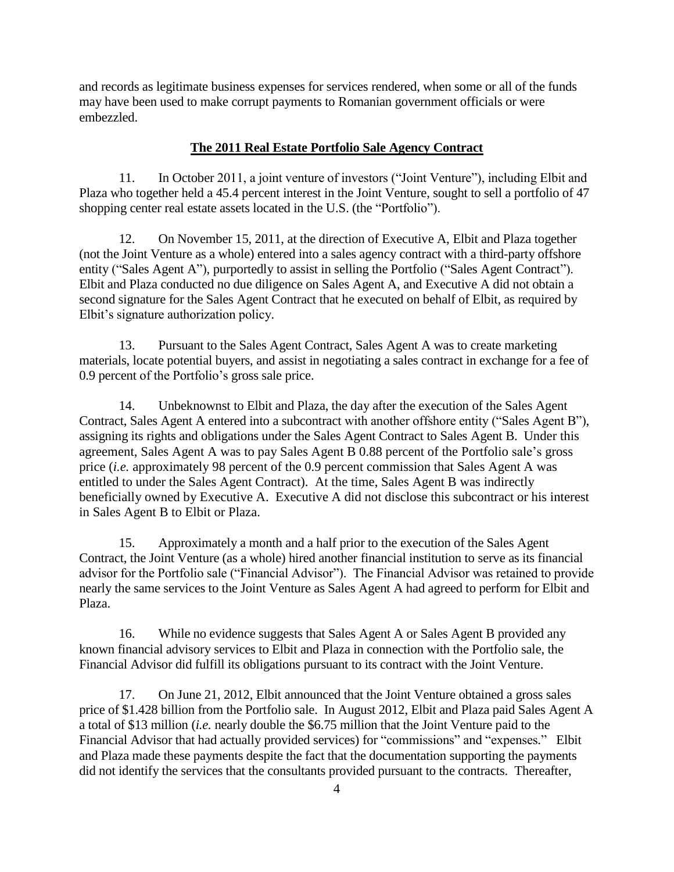and records as legitimate business expenses for services rendered, when some or all of the funds may have been used to make corrupt payments to Romanian government officials or were embezzled.

# **The 2011 Real Estate Portfolio Sale Agency Contract**

11. In October 2011, a joint venture of investors ("Joint Venture"), including Elbit and Plaza who together held a 45.4 percent interest in the Joint Venture, sought to sell a portfolio of 47 shopping center real estate assets located in the U.S. (the "Portfolio").

12. On November 15, 2011, at the direction of Executive A, Elbit and Plaza together (not the Joint Venture as a whole) entered into a sales agency contract with a third-party offshore entity ("Sales Agent A"), purportedly to assist in selling the Portfolio ("Sales Agent Contract"). Elbit and Plaza conducted no due diligence on Sales Agent A, and Executive A did not obtain a second signature for the Sales Agent Contract that he executed on behalf of Elbit, as required by Elbit's signature authorization policy.

13. Pursuant to the Sales Agent Contract, Sales Agent A was to create marketing materials, locate potential buyers, and assist in negotiating a sales contract in exchange for a fee of  $0.9$  percent of the Portfolio's gross sale price.

14. Unbeknownst to Elbit and Plaza, the day after the execution of the Sales Agent Contract, Sales Agent A entered into a subcontract with another offshore entity ("Sales Agent B"), assigning its rights and obligations under the Sales Agent Contract to Sales Agent B. Under this agreement, Sales Agent A was to pay Sales Agent B  $0.88$  percent of the Portfolio sale's gross price (*i.e.* approximately 98 percent of the 0.9 percent commission that Sales Agent A was entitled to under the Sales Agent Contract). At the time, Sales Agent B was indirectly beneficially owned by Executive A. Executive A did not disclose this subcontract or his interest in Sales Agent B to Elbit or Plaza.

15. Approximately a month and a half prior to the execution of the Sales Agent Contract, the Joint Venture (as a whole) hired another financial institution to serve as its financial advisor for the Portfolio sale ("Financial Advisor"). The Financial Advisor was retained to provide nearly the same services to the Joint Venture as Sales Agent A had agreed to perform for Elbit and Plaza.

16. While no evidence suggests that Sales Agent A or Sales Agent B provided any known financial advisory services to Elbit and Plaza in connection with the Portfolio sale, the Financial Advisor did fulfill its obligations pursuant to its contract with the Joint Venture.

17. On June 21, 2012, Elbit announced that the Joint Venture obtained a gross sales price of \$1.428 billion from the Portfolio sale. In August 2012, Elbit and Plaza paid Sales Agent A a total of \$13 million (*i.e.* nearly double the \$6.75 million that the Joint Venture paid to the Financial Advisor that had actually provided services) for "commissions" and "expenses." Elbit and Plaza made these payments despite the fact that the documentation supporting the payments did not identify the services that the consultants provided pursuant to the contracts. Thereafter,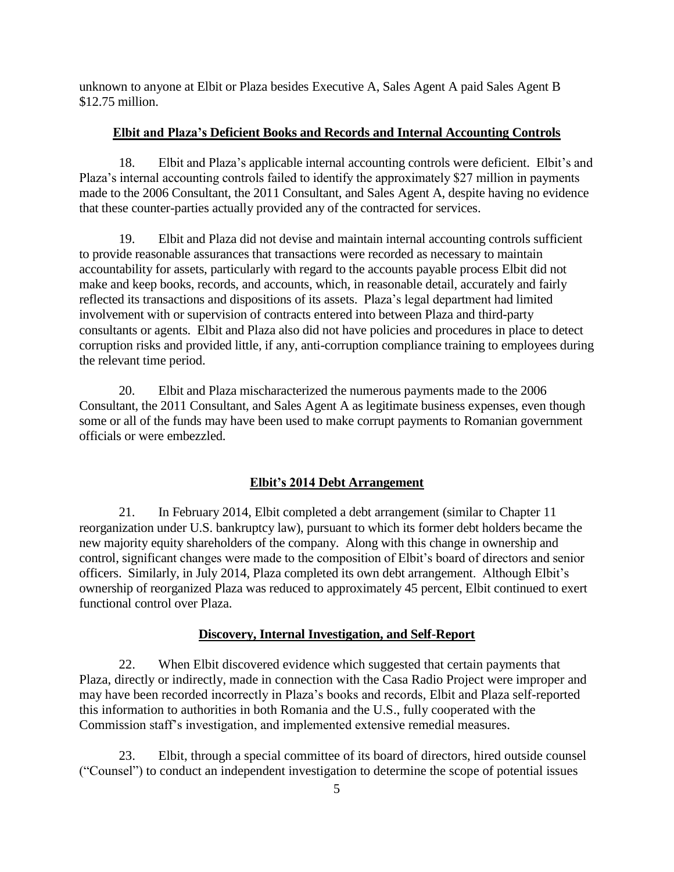unknown to anyone at Elbit or Plaza besides Executive A, Sales Agent A paid Sales Agent B \$12.75 million.

# **Elbit and Plaza's Deficient Books and Records and Internal Accounting Controls**

18. Elbit and Plaza's applicable internal accounting controls were deficient. Elbit's and Plaza's internal accounting controls failed to identify the approximately \$27 million in payments made to the 2006 Consultant, the 2011 Consultant, and Sales Agent A, despite having no evidence that these counter-parties actually provided any of the contracted for services.

19. Elbit and Plaza did not devise and maintain internal accounting controls sufficient to provide reasonable assurances that transactions were recorded as necessary to maintain accountability for assets, particularly with regard to the accounts payable process Elbit did not make and keep books, records, and accounts, which, in reasonable detail, accurately and fairly reflected its transactions and dispositions of its assets. Plaza's legal department had limited involvement with or supervision of contracts entered into between Plaza and third-party consultants or agents. Elbit and Plaza also did not have policies and procedures in place to detect corruption risks and provided little, if any, anti-corruption compliance training to employees during the relevant time period.

20. Elbit and Plaza mischaracterized the numerous payments made to the 2006 Consultant, the 2011 Consultant, and Sales Agent A as legitimate business expenses, even though some or all of the funds may have been used to make corrupt payments to Romanian government officials or were embezzled.

# Elbit's 2014 Debt Arrangement

21. In February 2014, Elbit completed a debt arrangement (similar to Chapter 11 reorganization under U.S. bankruptcy law), pursuant to which its former debt holders became the new majority equity shareholders of the company. Along with this change in ownership and control, significant changes were made to the composition of Elbit's board of directors and senior officers. Similarly, in July 2014, Plaza completed its own debt arrangement. Although Elbit's ownership of reorganized Plaza was reduced to approximately 45 percent, Elbit continued to exert functional control over Plaza.

# **Discovery, Internal Investigation, and Self-Report**

22. When Elbit discovered evidence which suggested that certain payments that Plaza, directly or indirectly, made in connection with the Casa Radio Project were improper and may have been recorded incorrectly in Plaza's books and records, Elbit and Plaza self-reported this information to authorities in both Romania and the U.S., fully cooperated with the Commission staff's investigation, and implemented extensive remedial measures.

23. Elbit, through a special committee of its board of directors, hired outside counsel ("Counsel") to conduct an independent investigation to determine the scope of potential issues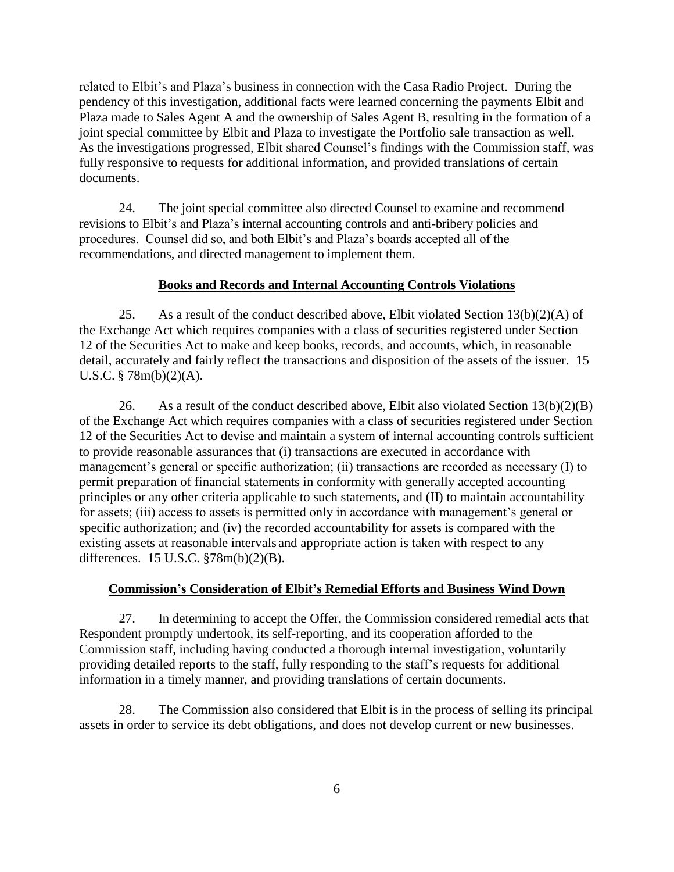related to Elbit's and Plaza's business in connection with the Casa Radio Project. During the pendency of this investigation, additional facts were learned concerning the payments Elbit and Plaza made to Sales Agent A and the ownership of Sales Agent B, resulting in the formation of a joint special committee by Elbit and Plaza to investigate the Portfolio sale transaction as well. As the investigations progressed, Elbit shared Counsel's findings with the Commission staff, was fully responsive to requests for additional information, and provided translations of certain documents.

24. The joint special committee also directed Counsel to examine and recommend revisions to Elbit's and Plaza's internal accounting controls and anti-bribery policies and procedures. Counsel did so, and both Elbit's and Plaza's boards accepted all of the recommendations, and directed management to implement them.

### **Books and Records and Internal Accounting Controls Violations**

25. As a result of the conduct described above, Elbit violated Section  $13(b)(2)(A)$  of the Exchange Act which requires companies with a class of securities registered under Section 12 of the Securities Act to make and keep books, records, and accounts, which, in reasonable detail, accurately and fairly reflect the transactions and disposition of the assets of the issuer. 15 U.S.C. § 78m(b)(2)(A).

26. As a result of the conduct described above, Elbit also violated Section  $13(b)(2)(B)$ of the Exchange Act which requires companies with a class of securities registered under Section 12 of the Securities Act to devise and maintain a system of internal accounting controls sufficient to provide reasonable assurances that (i) transactions are executed in accordance with management's general or specific authorization; (ii) transactions are recorded as necessary (I) to permit preparation of financial statements in conformity with generally accepted accounting principles or any other criteria applicable to such statements, and (II) to maintain accountability for assets; (iii) access to assets is permitted only in accordance with management's general or specific authorization; and (iv) the recorded accountability for assets is compared with the existing assets at reasonable intervals and appropriate action is taken with respect to any differences. 15 U.S.C. §78m(b)(2)(B).

#### **Commission's Consideration of Elbit's Remedial Efforts and Business Wind Down**

27. In determining to accept the Offer, the Commission considered remedial acts that Respondent promptly undertook, its self-reporting, and its cooperation afforded to the Commission staff, including having conducted a thorough internal investigation, voluntarily providing detailed reports to the staff, fully responding to the staff's requests for additional information in a timely manner, and providing translations of certain documents.

28. The Commission also considered that Elbit is in the process of selling its principal assets in order to service its debt obligations, and does not develop current or new businesses.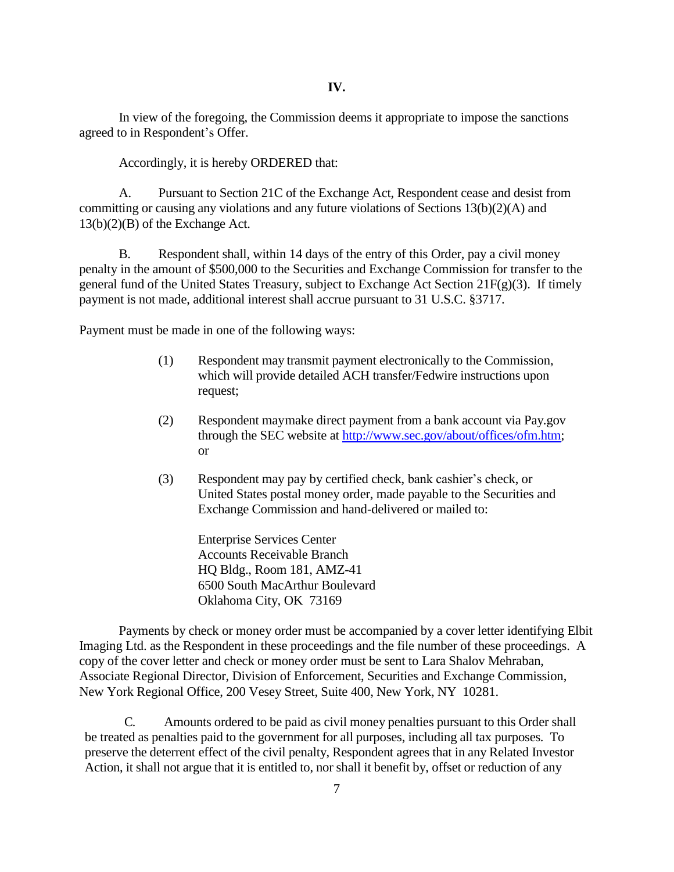In view of the foregoing, the Commission deems it appropriate to impose the sanctions agreed to in Respondent's Offer.

Accordingly, it is hereby ORDERED that:

A. Pursuant to Section 21C of the Exchange Act, Respondent cease and desist from committing or causing any violations and any future violations of Sections 13(b)(2)(A) and 13(b)(2)(B) of the Exchange Act.

B. Respondent shall, within 14 days of the entry of this Order, pay a civil money penalty in the amount of \$500,000 to the Securities and Exchange Commission for transfer to the general fund of the United States Treasury, subject to Exchange Act Section 21F(g)(3). If timely payment is not made, additional interest shall accrue pursuant to 31 U.S.C. §3717.

Payment must be made in one of the following ways:

- (1) Respondent may transmit payment electronically to the Commission, which will provide detailed ACH transfer/Fedwire instructions upon request;
- (2) Respondent may make direct payment from a bank account via Pay.gov through the SEC website at http://www.sec.gov/about/offices/ofm.htm; or
- $(3)$  Respondent may pay by certified check, bank cashier's check, or United States postal money order, made payable to the Securities and Exchange Commission and hand-delivered or mailed to:

Enterprise Services Center Accounts Receivable Branch HQ Bldg., Room 181, AMZ-41 6500 South MacArthur Boulevard Oklahoma City, OK 73169

Payments by check or money order must be accompanied by a cover letter identifying Elbit Imaging Ltd. as the Respondent in these proceedings and the file number of these proceedings. A copy of the cover letter and check or money order must be sent to Lara Shalov Mehraban, Associate Regional Director, Division of Enforcement, Securities and Exchange Commission, New York Regional Office, 200 Vesey Street, Suite 400, New York, NY 10281.

C. Amounts ordered to be paid as civil money penalties pursuant to this Order shall be treated as penalties paid to the government for all purposes, including all tax purposes. To preserve the deterrent effect of the civil penalty, Respondent agrees that in any Related Investor Action, it shall not argue that it is entitled to, nor shall it benefit by, offset or reduction of any